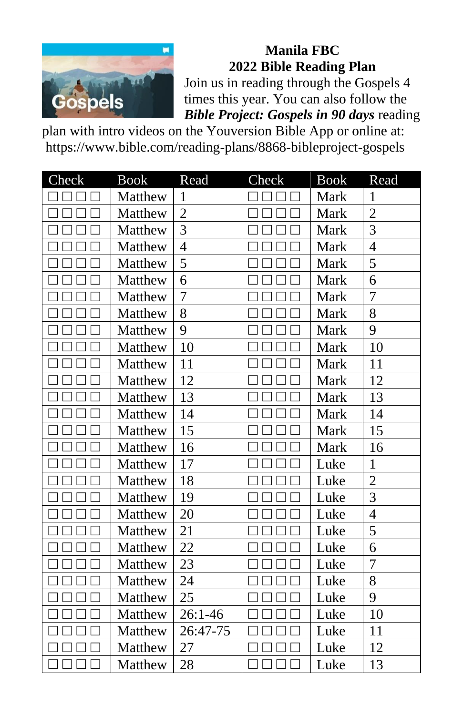

**Manila FBC 2022 Bible Reading Plan**

Join us in reading through the Gospels 4 times this year. You can also follow the *Bible Project: Gospels in 90 days* reading

plan with intro videos on the Youversion Bible App or online at: https://www.bible.com/reading-plans/8868-bibleproject-gospels

| Check | <b>Book</b> | Read           | Check | <b>Book</b> | Read           |
|-------|-------------|----------------|-------|-------------|----------------|
|       | Matthew     | 1              |       | Mark        | $\mathbf{1}$   |
|       | Matthew     | $\overline{2}$ |       | Mark        | $\overline{2}$ |
|       | Matthew     | $\overline{3}$ |       | Mark        | $\overline{3}$ |
|       | Matthew     | $\overline{4}$ |       | Mark        | $\overline{4}$ |
|       | Matthew     | 5              |       | Mark        | 5              |
|       | Matthew     | 6              |       | Mark        | 6              |
|       | Matthew     | $\overline{7}$ |       | Mark        | 7              |
|       | Matthew     | 8              |       | Mark        | 8              |
|       | Matthew     | 9              |       | Mark        | 9              |
|       | Matthew     | 10             |       | Mark        | 10             |
|       | Matthew     | 11             |       | Mark        | 11             |
|       | Matthew     | 12             |       | Mark        | 12             |
|       | Matthew     | 13             |       | Mark        | 13             |
|       | Matthew     | 14             |       | Mark        | 14             |
|       | Matthew     | 15             |       | Mark        | 15             |
|       | Matthew     | 16             |       | Mark        | 16             |
|       | Matthew     | 17             |       | Luke        | $\mathbf{1}$   |
|       | Matthew     | 18             |       | Luke        | $\overline{2}$ |
|       | Matthew     | 19             |       | Luke        | $\overline{3}$ |
|       | Matthew     | 20             |       | Luke        | $\overline{4}$ |
|       | Matthew     | 21             |       | Luke        | 5              |
|       | Matthew     | 22             |       | Luke        | 6              |
|       | Matthew     | 23             |       | Luke        | $\overline{7}$ |
|       | Matthew     | 24             |       | Luke        | 8              |
|       | Matthew     | 25             |       | Luke        | 9              |
|       | Matthew     | $26:1 - 46$    |       | Luke        | 10             |
|       | Matthew     | 26:47-75       |       | Luke        | 11             |
|       | Matthew     | 27             |       | Luke        | 12             |
|       | Matthew     | 28             |       | Luke        | 13             |